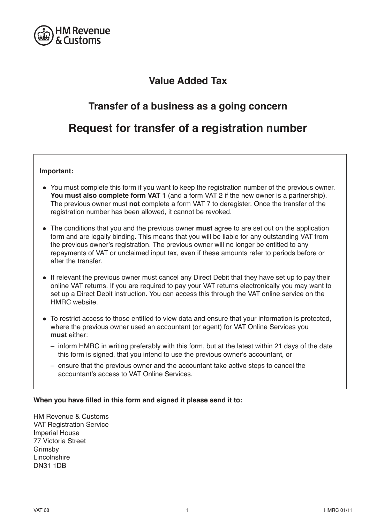

# **Value Added Tax**

# **Transfer of a business as a going concern**

# **Request for transfer of a registration number**

# **Important:**

- You must complete this form if you want to keep the registration number of the previous owner. **You must also complete form VAT 1** (and a form VAT 2 if the new owner is a partnership). The previous owner must **not** complete a form VAT 7 to deregister. Once the transfer of the registration number has been allowed, it cannot be revoked.
- The conditions that you and the previous owner **must** agree to are set out on the application form and are legally binding. This means that you will be liable for any outstanding VAT from the previous owner's registration. The previous owner will no longer be entitled to any repayments of VAT or unclaimed input tax, even if these amounts refer to periods before or after the transfer.
- If relevant the previous owner must cancel any Direct Debit that they have set up to pay their online VAT returns. If you are required to pay your VAT returns electronically you may want to set up a Direct Debit instruction. You can access this through the VAT online service on the HMRC website
- To restrict access to those entitled to view data and ensure that your information is protected, where the previous owner used an accountant (or agent) for VAT Online Services you **must** either:
	- $-$  inform HMRC in writing preferably with this form, but at the latest within 21 days of the date this form is signed, that you intend to use the previous owner's accountant, or
	- $-$  ensure that the previous owner and the accountant take active steps to cancel the accountant's access to VAT Online Services.

# **When you have filled in this form and signed it please send it to:**

HM Revenue & Customs **VAT Registration Service** Imperial House 77 Victoria Street Grimsby Lincolnshire **DN31 1DB**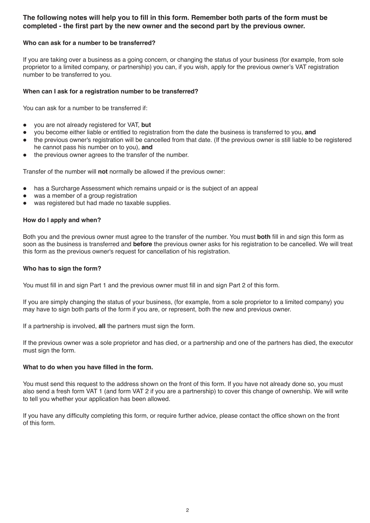# **The following notes will help you to fill in this form. Remember both parts of the form must be completed - the first part by the new owner and the second part by the previous owner.**

## **Who can ask for a number to be transferred?**

If you are taking over a business as a going concern, or changing the status of your business (for example, from sole proprietor to a limited company, or partnership) you can, if you wish, apply for the previous owner's VAT registration number to be transferred to you.

## **When can I ask for a registration number to be transferred?**

You can ask for a number to be transferred if:

- you are not already registered for VAT, but
- you become either liable or entitled to registration from the date the business is transferred to you, and
- the previous owner's registration will be cancelled from that date. (If the previous owner is still liable to be registered he cannot pass his number on to you), and
- the previous owner agrees to the transfer of the number.

Transfer of the number will not normally be allowed if the previous owner:

- has a Surcharge Assessment which remains unpaid or is the subject of an appeal
- was a member of a group registration
- was registered but had made no taxable supplies.

### **How do I apply and when?**

Both you and the previous owner must agree to the transfer of the number. You must **both** fill in and sign this form as soon as the business is transferred and **before** the previous owner asks for his registration to be cancelled. We will treat this form as the previous owner's request for cancellation of his registration.

#### **Who has to sign the form?**

You must fill in and sign Part 1 and the previous owner must fill in and sign Part 2 of this form.

If you are simply changing the status of your business, (for example, from a sole proprietor to a limited company) you may have to sign both parts of the form if you are, or represent, both the new and previous owner.

If a partnership is involved, **all** the partners must sign the form.

If the previous owner was a sole proprietor and has died, or a partnership and one of the partners has died, the executor must sign the form.

#### **What to do when you have filled in the form.**

You must send this request to the address shown on the front of this form. If you have not already done so, you must also send a fresh form VAT 1 (and form VAT 2 if you are a partnership) to cover this change of ownership. We will write to tell you whether your application has been allowed.

If you have any difficulty completing this form, or require further advice, please contact the office shown on the front of this form.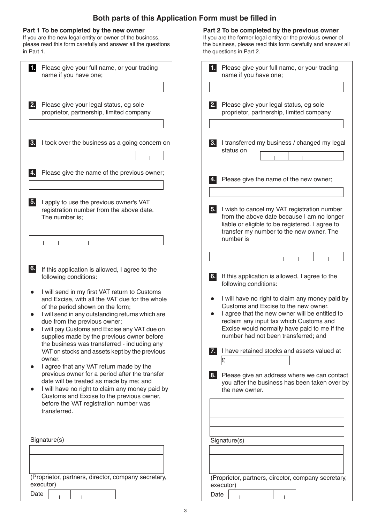# **Both parts of this Application Form must be filled in**

### **Part 1 To be completed by the new owner**

If you are the new legal entity or owner of the business, please read this form carefully and answer all the questions in Part 1.

| 11<br>Please give your full name, or your trading<br>name if you have one;                                                                                                                                                                                                                                                                                                                                                                                                                                                                                                                                                                                                                                                                                                                                          |
|---------------------------------------------------------------------------------------------------------------------------------------------------------------------------------------------------------------------------------------------------------------------------------------------------------------------------------------------------------------------------------------------------------------------------------------------------------------------------------------------------------------------------------------------------------------------------------------------------------------------------------------------------------------------------------------------------------------------------------------------------------------------------------------------------------------------|
| Please give your legal status, eg sole<br>2.<br>proprietor, partnership, limited company                                                                                                                                                                                                                                                                                                                                                                                                                                                                                                                                                                                                                                                                                                                            |
| I took over the business as a going concern on<br>3.                                                                                                                                                                                                                                                                                                                                                                                                                                                                                                                                                                                                                                                                                                                                                                |
| Please give the name of the previous owner;<br>$\overline{4}$ .                                                                                                                                                                                                                                                                                                                                                                                                                                                                                                                                                                                                                                                                                                                                                     |
| $\overline{5}$ .<br>I apply to use the previous owner's VAT<br>registration number from the above date.<br>The number is;                                                                                                                                                                                                                                                                                                                                                                                                                                                                                                                                                                                                                                                                                           |
|                                                                                                                                                                                                                                                                                                                                                                                                                                                                                                                                                                                                                                                                                                                                                                                                                     |
| 6.<br>If this application is allowed, I agree to the<br>following conditions:<br>I will send in my first VAT return to Customs<br>and Excise, with all the VAT due for the whole<br>of the period shown on the form;<br>I will send in any outstanding returns which are<br>due from the previous owner;<br>I will pay Customs and Excise any VAT due on<br>supplies made by the previous owner before<br>the business was transferred - including any<br>VAT on stocks and assets kept by the previous<br>owner.<br>I agree that any VAT return made by the<br>previous owner for a period after the transfer<br>date will be treated as made by me; and<br>I will have no right to claim any money paid by<br>Customs and Excise to the previous owner,<br>before the VAT registration number was<br>transferred. |
| Signature(s)                                                                                                                                                                                                                                                                                                                                                                                                                                                                                                                                                                                                                                                                                                                                                                                                        |
| (Proprietor, partners, director, company secretary,<br>executor)<br>Date                                                                                                                                                                                                                                                                                                                                                                                                                                                                                                                                                                                                                                                                                                                                            |

## **Part 2 To be completed by the previous owner**

If you are the former legal entity or the previous owner of the business, please read this form carefully and answer all the questions in Part 2.

| 1.                                                  | Please give your full name, or your trading<br>name if you have one;                                                                                                                                                                                                         |  |
|-----------------------------------------------------|------------------------------------------------------------------------------------------------------------------------------------------------------------------------------------------------------------------------------------------------------------------------------|--|
|                                                     |                                                                                                                                                                                                                                                                              |  |
| 2.                                                  | Please give your legal status, eg sole<br>proprietor, partnership, limited company                                                                                                                                                                                           |  |
| 3.                                                  | I transferred my business / changed my legal<br>status on                                                                                                                                                                                                                    |  |
| 4.                                                  | Please give the name of the new owner;                                                                                                                                                                                                                                       |  |
| 5.                                                  | I wish to cancel my VAT registration number<br>from the above date because I am no longer<br>liable or eligible to be registered. I agree to<br>transfer my number to the new owner. The<br>number is                                                                        |  |
|                                                     |                                                                                                                                                                                                                                                                              |  |
| 6.                                                  | If this application is allowed, I agree to the<br>following conditions:                                                                                                                                                                                                      |  |
|                                                     | I will have no right to claim any money paid by<br>Customs and Excise to the new owner.<br>I agree that the new owner will be entitled to<br>reclaim any input tax which Customs and<br>Excise would normally have paid to me if the<br>number had not been transferred; and |  |
|                                                     | I have retained stocks and assets valued at<br>£                                                                                                                                                                                                                             |  |
| 8.                                                  | Please give an address where we can contact<br>you after the business has been taken over by<br>the new owner.                                                                                                                                                               |  |
|                                                     |                                                                                                                                                                                                                                                                              |  |
| Signature(s)                                        |                                                                                                                                                                                                                                                                              |  |
|                                                     |                                                                                                                                                                                                                                                                              |  |
| (Proprietor, partners, director, company secretary, |                                                                                                                                                                                                                                                                              |  |
| Date                                                | executor)                                                                                                                                                                                                                                                                    |  |